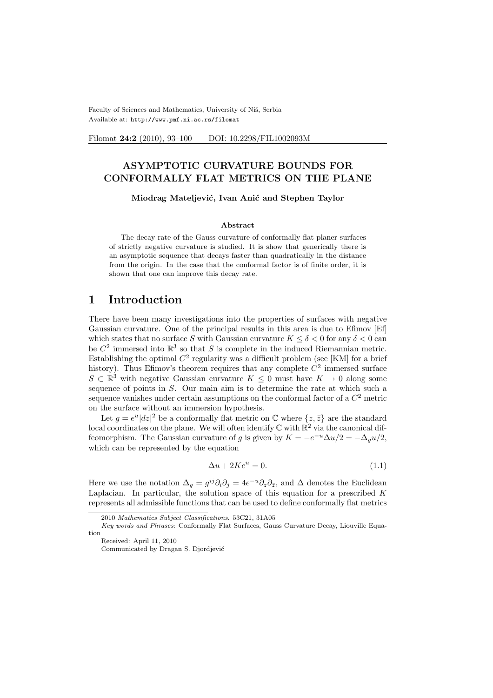Faculty of Sciences and Mathematics, University of Niš, Serbia Available at: http://www.pmf.ni.ac.rs/filomat

Filomat 24:2 (2010), 93-100 DOI: 10.2298/FIL1002093M

# ASYMPTOTIC CURVATURE BOUNDS FOR CONFORMALLY FLAT METRICS ON THE PLANE

#### Miodrag Mateljević, Ivan Anić and Stephen Taylor

#### Abstract

The decay rate of the Gauss curvature of conformally flat planer surfaces of strictly negative curvature is studied. It is show that generically there is an asymptotic sequence that decays faster than quadratically in the distance from the origin. In the case that the conformal factor is of finite order, it is shown that one can improve this decay rate.

# 1 Introduction

There have been many investigations into the properties of surfaces with negative Gaussian curvature. One of the principal results in this area is due to Efimov [Ef] which states that no surface S with Gaussian curvature  $K \leq \delta < 0$  for any  $\delta < 0$  can be  $C^2$  immersed into  $\mathbb{R}^3$  so that S is complete in the induced Riemannian metric. Establishing the optimal  $C^2$  regularity was a difficult problem (see [KM] for a brief history). Thus Efimov's theorem requires that any complete  $\mathbb{C}^2$  immersed surface  $S \subset \mathbb{R}^3$  with negative Gaussian curvature  $K \leq 0$  must have  $K \to 0$  along some sequence of points in S. Our main aim is to determine the rate at which such a sequence vanishes under certain assumptions on the conformal factor of a  $C<sup>2</sup>$  metric on the surface without an immersion hypothesis.

Let  $g = e^u |dz|^2$  be a conformally flat metric on  $\mathbb C$  where  $\{z, \bar{z}\}\$ are the standard local coordinates on the plane. We will often identify  $\mathbb C$  with  $\mathbb R^2$  via the canonical diffeomorphism. The Gaussian curvature of g is given by  $K = -e^{-u}\Delta u/2 = -\Delta_g u/2$ , which can be represented by the equation

$$
\Delta u + 2Ke^u = 0.\tag{1.1}
$$

Here we use the notation  $\Delta_g = g^{ij}\partial_i\partial_j = 4e^{-u}\partial_z\partial_{\bar{z}},$  and  $\Delta$  denotes the Euclidean Laplacian. In particular, the solution space of this equation for a prescribed  $K$ represents all admissible functions that can be used to define conformally flat metrics

<sup>2010</sup> Mathematics Subject Classifications. 53C21, 31A05

Key words and Phrases: Conformally Flat Surfaces, Gauss Curvature Decay, Liouville Equation

Received: April 11, 2010

Communicated by Dragan S. Djordjević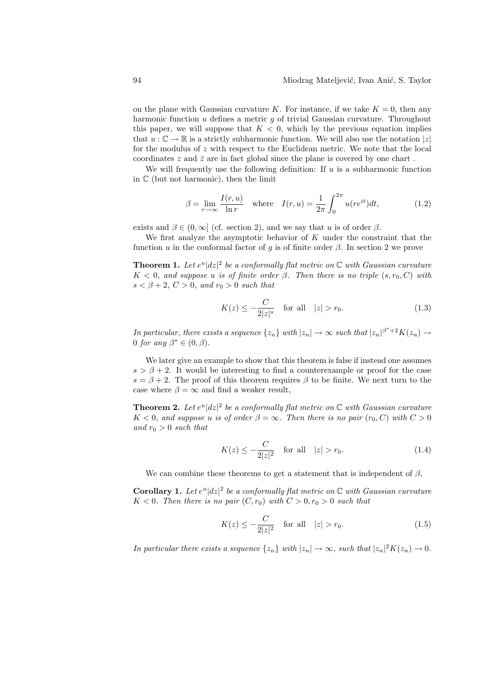on the plane with Gaussian curvature K. For instance, if we take  $K = 0$ , then any harmonic function  $u$  defines a metric  $g$  of trivial Gaussian curvature. Throughout this paper, we will suppose that  $K < 0$ , which by the previous equation implies that  $u : \mathbb{C} \to \mathbb{R}$  is a strictly subharmonic function. We will also use the notation  $|z|$ for the modulus of  $z$  with respect to the Euclidean metric. We note that the local coordinates  $z$  and  $\bar{z}$  are in fact global since the plane is covered by one chart .

We will frequently use the following definition: If  $u$  is a subharmonic function in  $\mathbb C$  (but not harmonic), then the limit

$$
\beta = \lim_{r \to \infty} \frac{I(r, u)}{\ln r} \quad \text{where} \quad I(r, u) = \frac{1}{2\pi} \int_0^{2\pi} u(re^{it}) dt,
$$
 (1.2)

exists and  $\beta \in (0,\infty]$  (cf. section 2), and we say that u is of order  $\beta$ .

We first analyze the asymptotic behavior of  $K$  under the constraint that the function u in the conformal factor of g is of finite order  $\beta$ . In section 2 we prove

**Theorem 1.** Let  $e^u |dz|^2$  be a conformally flat metric on  $\mathbb C$  with Gaussian curvature  $K < 0$ , and suppose u is of finite order  $\beta$ . Then there is no triple  $(s, r_0, C)$  with  $s < \beta + 2$ ,  $C > 0$ , and  $r_0 > 0$  such that

$$
K(z) \le -\frac{C}{2|z|^s} \quad \text{for all} \quad |z| > r_0. \tag{1.3}
$$

In particular, there exists a sequence  $\{z_n\}$  with  $|z_n| \to \infty$  such that  $|z_n|^{\beta^*+2}K(z_n) \to$ 0 for any  $\beta^* \in (0, \beta)$ .

We later give an example to show that this theorem is false if instead one assumes  $s > \beta + 2$ . It would be interesting to find a counterexample or proof for the case  $s = \beta + 2$ . The proof of this theorem requires  $\beta$  to be finite. We next turn to the case where  $\beta = \infty$  and find a weaker result,

**Theorem 2.** Let  $e^u |dz|^2$  be a conformally flat metric on  $\mathbb C$  with Gaussian curvature  $K < 0$ , and suppose u is of order  $\beta = \infty$ . Then there is no pair  $(r_0, C)$  with  $C > 0$ and  $r_0 > 0$  such that

$$
K(z) \le -\frac{C}{2|z|^2} \quad \text{for all} \quad |z| > r_0. \tag{1.4}
$$

We can combine these theorems to get a statement that is independent of  $\beta$ ,

**Corollary 1.** Let  $e^u |dz|^2$  be a conformally flat metric on  $\mathbb C$  with Gaussian curvature  $K < 0$ . Then there is no pair  $(C, r_0)$  with  $C > 0, r_0 > 0$  such that

$$
K(z) \le -\frac{C}{2|z|^2} \quad \text{for all} \quad |z| > r_0. \tag{1.5}
$$

In particular there exists a sequence  $\{z_n\}$  with  $|z_n| \to \infty$ , such that  $|z_n|^2 K(z_n) \to 0$ .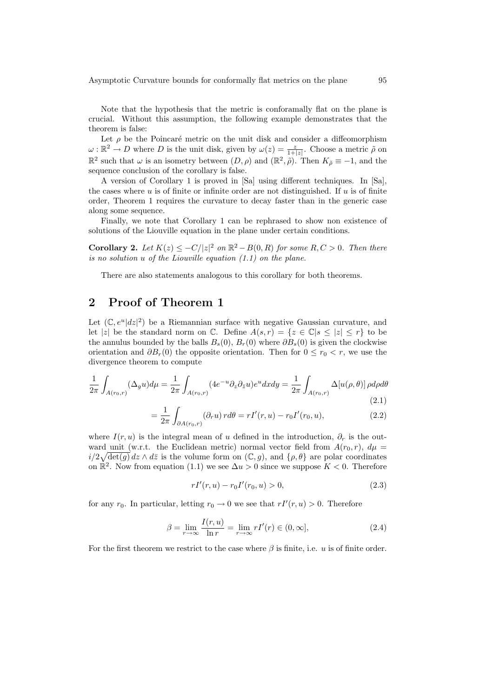Asymptotic Curvature bounds for conformally flat metrics on the plane 95

Note that the hypothesis that the metric is conforamally flat on the plane is crucial. Without this assumption, the following example demonstrates that the theorem is false:

Let  $\rho$  be the Poincaré metric on the unit disk and consider a diffeomorphism  $\omega : \mathbb{R}^2 \to D$  where D is the unit disk, given by  $\omega(z) = \frac{z}{1+|z|}$ . Choose a metric  $\tilde{\rho}$  on  $\mathbb{R}^2$  such that  $\omega$  is an isometry between  $(D, \rho)$  and  $(\mathbb{R}^2, \tilde{\rho})$ . Then  $K_{\tilde{\rho}} \equiv -1$ , and the sequence conclusion of the corollary is false.

A version of Corollary 1 is proved in [Sa] using different techniques. In [Sa], the cases where  $u$  is of finite or infinite order are not distinguished. If  $u$  is of finite order, Theorem 1 requires the curvature to decay faster than in the generic case along some sequence.

Finally, we note that Corollary 1 can be rephrased to show non existence of solutions of the Liouville equation in the plane under certain conditions.

**Corollary 2.** Let  $K(z) \leq -C/|z|^2$  on  $\mathbb{R}^2 - B(0, R)$  for some  $R, C > 0$ . Then there is no solution u of the Liouville equation (1.1) on the plane.

There are also statements analogous to this corollary for both theorems.

# 2 Proof of Theorem 1

Let  $(\mathbb{C}, e^u |dz|^2)$  be a Riemannian surface with negative Gaussian curvature, and let |z| be the standard norm on  $\mathbb{C}$ . Define  $A(s,r) = \{z \in \mathbb{C} | s \le |z| \le r\}$  to be the annulus bounded by the balls  $B_s(0)$ ,  $B_r(0)$  where  $\partial B_s(0)$  is given the clockwise orientation and  $\partial B_r(0)$  the opposite orientation. Then for  $0 \le r_0 < r$ , we use the divergence theorem to compute

$$
\frac{1}{2\pi} \int_{A(r_0,r)} (\Delta_g u) d\mu = \frac{1}{2\pi} \int_{A(r_0,r)} (4e^{-u} \partial_z \partial_{\bar{z}} u) e^u dx dy = \frac{1}{2\pi} \int_{A(r_0,r)} \Delta[u(\rho,\theta)] \rho d\rho d\theta
$$
\n(2.1)

$$
= \frac{1}{2\pi} \int_{\partial A(r_0, r)} (\partial_r u) r d\theta = rI'(r, u) - r_0 I'(r_0, u), \qquad (2.2)
$$

where  $I(r, u)$  is the integral mean of u defined in the introduction,  $\partial_r$  is the outward unit (w.r.t. the Euclidean metric) normal vector field from  $A(r_0, r)$ ,  $d\mu =$  $i/2\sqrt{\det(g)}\,dz\wedge d\bar{z}$  is the volume form on  $(\mathbb{C},g)$ , and  $\{\rho,\theta\}$  are polar coordinates on  $\mathbb{R}^2$ . Now from equation (1.1) we see  $\Delta u > 0$  since we suppose  $K < 0$ . Therefore

$$
rI'(r, u) - r_0I'(r_0, u) > 0,
$$
\n(2.3)

for any  $r_0$ . In particular, letting  $r_0 \to 0$  we see that  $rI'(r, u) > 0$ . Therefore

$$
\beta = \lim_{r \to \infty} \frac{I(r, u)}{\ln r} = \lim_{r \to \infty} rI'(r) \in (0, \infty],
$$
\n(2.4)

For the first theorem we restrict to the case where  $\beta$  is finite, i.e. u is of finite order.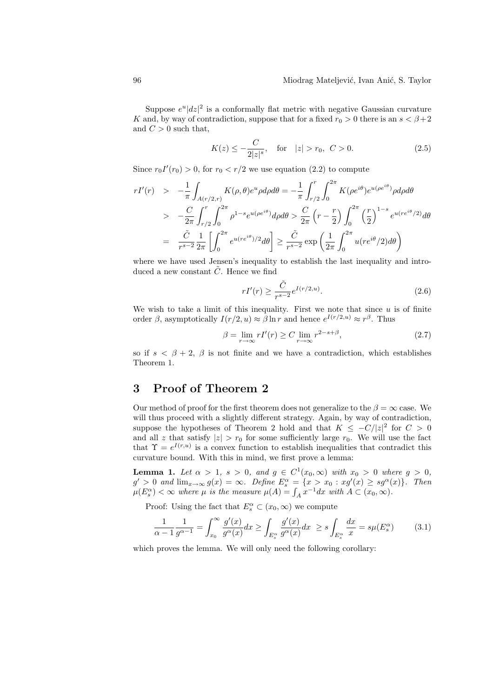Suppose  $e^u |dz|^2$  is a conformally flat metric with negative Gaussian curvature K and, by way of contradiction, suppose that for a fixed  $r_0 > 0$  there is an  $s < \beta + 2$ and  $C > 0$  such that,

$$
K(z) \le -\frac{C}{2|z|^s}, \quad \text{for} \quad |z| > r_0, \ C > 0. \tag{2.5}
$$

Since  $r_0 I'(r_0) > 0$ , for  $r_0 < r/2$  we use equation (2.2) to compute

$$
rI'(r) > -\frac{1}{\pi} \int_{A(r/2,r)} K(\rho, \theta) e^u \rho d\rho d\theta = -\frac{1}{\pi} \int_{r/2}^r \int_0^{2\pi} K(\rho e^{i\theta}) e^{u(\rho e^{i\theta})} \rho d\rho d\theta
$$
  
> 
$$
- \frac{C}{2\pi} \int_{r/2}^r \int_0^{2\pi} \rho^{1-s} e^{u(\rho e^{i\theta})} d\rho d\theta > \frac{C}{2\pi} \left( r - \frac{r}{2} \right) \int_0^{2\pi} \left( \frac{r}{2} \right)^{1-s} e^{u(re^{i\theta}/2)} d\theta
$$
  
= 
$$
\frac{\tilde{C}}{r^{s-2}} \frac{1}{2\pi} \left[ \int_0^{2\pi} e^{u(re^{i\theta})/2} d\theta \right] \ge \frac{\tilde{C}}{r^{s-2}} \exp\left( \frac{1}{2\pi} \int_0^{2\pi} u(re^{i\theta}/2) d\theta \right)
$$

where we have used Jensen's inequality to establish the last inequality and introduced a new constant  $\tilde{C}$ . Hence we find

$$
rI'(r) \ge \frac{\tilde{C}}{r^{s-2}} e^{I(r/2,u)}.
$$
\n(2.6)

We wish to take a limit of this inequality. First we note that since  $u$  is of finite order  $\beta$ , asymptotically  $I(r/2, u) \approx \beta \ln r$  and hence  $e^{I(r/2, u)} \approx r^{\beta}$ . Thus

$$
\beta = \lim_{r \to \infty} rI'(r) \ge C \lim_{r \to \infty} r^{2-s+\beta},\tag{2.7}
$$

so if  $s < \beta + 2$ ,  $\beta$  is not finite and we have a contradiction, which establishes Theorem 1.

# 3 Proof of Theorem 2

Our method of proof for the first theorem does not generalize to the  $\beta = \infty$  case. We will thus proceed with a slightly different strategy. Again, by way of contradiction, suppose the hypotheses of Theorem 2 hold and that  $K \leq -C/|z|^2$  for  $C > 0$ and all z that satisfy  $|z| > r_0$  for some sufficiently large  $r_0$ . We will use the fact that  $\Upsilon = e^{I(r,u)}$  is a convex function to establish inequalities that contradict this curvature bound. With this in mind, we first prove a lemma:

**Lemma 1.** Let  $\alpha > 1$ ,  $s > 0$ , and  $g \in C^1(x_0, \infty)$  with  $x_0 > 0$  where  $g > 0$ ,  $g' > 0$  and  $\lim_{x \to \infty} g(x) = \infty$ . Define  $E_s^{\alpha} = \{x > x_0 : xg'(x) \ge sg^{\alpha}(x)\}\$ . Then  $g > 0$  and  $\lim_{x \to \infty} g(x) = \infty$ . Define  $E_s^* = \{x > x_0 : xg(x) \ge sg^{\alpha}(\mu(E_s^{\alpha}) < \infty$  where  $\mu$  is the measure  $\mu(A) = \int_A x^{-1} dx$  with  $A \subset (x_0, \infty)$ .

Proof: Using the fact that  $E_s^{\alpha} \subset (x_0, \infty)$  we compute

$$
\frac{1}{\alpha - 1} \frac{1}{g^{\alpha - 1}} = \int_{x_0}^{\infty} \frac{g'(x)}{g^{\alpha}(x)} dx \ge \int_{E_s^{\alpha}} \frac{g'(x)}{g^{\alpha}(x)} dx \ge s \int_{E_s^{\alpha}} \frac{dx}{x} = s\mu(E_s^{\alpha})
$$
(3.1)

which proves the lemma. We will only need the following corollary: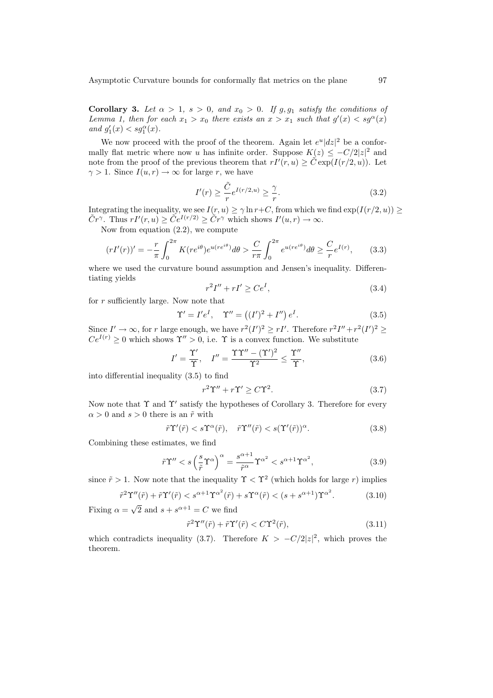Corollary 3. Let  $\alpha > 1$ ,  $s > 0$ , and  $x_0 > 0$ . If  $g, g_1$  satisfy the conditions of Lemma 1, then for each  $x_1 > x_0$  there exists an  $x > x_1$  such that  $g'(x) < sg^{\alpha}(x)$ and  $g'_1(x) < sg_1^{\alpha}(x)$ .

We now proceed with the proof of the theorem. Again let  $e^u |dz|^2$  be a conformally flat metric where now u has infinite order. Suppose  $K(z) \leq -C/2|z|^2$  and note from the proof of the previous theorem that  $rI'(r,u) \geq \tilde{C} \exp(I(r/2, u))$ . Let  $\gamma > 1$ . Since  $I(u, r) \to \infty$  for large r, we have

$$
I'(r) \ge \frac{\tilde{C}}{r} e^{I(r/2, u)} \ge \frac{\gamma}{r}.
$$
\n(3.2)

Integrating the inequality, we see  $I(r, u) \ge \gamma \ln r + C$ , from which we find  $\exp(I(r/2, u)) \ge$  $\widetilde{C}r^{\gamma}$ . Thus  $rI'(r,u) \geq \widetilde{C}e^{I(r/2)} \geq \widetilde{C}r^{\gamma}$  which shows  $I'(u,r) \to \infty$ .

Now from equation (2.2), we compute

$$
(rI'(r))' = -\frac{r}{\pi} \int_0^{2\pi} K(re^{i\theta}) e^{u(re^{i\theta})} d\theta > \frac{C}{r\pi} \int_0^{2\pi} e^{u(re^{i\theta})} d\theta \ge \frac{C}{r} e^{I(r)},\qquad(3.3)
$$

where we used the curvature bound assumption and Jensen's inequality. Differentiating yields

$$
r^2I'' + rI' \ge Ce^I,\tag{3.4}
$$

for r sufficiently large. Now note that

$$
\Upsilon' = I'e^{I}, \quad \Upsilon'' = ((I')^{2} + I'') e^{I}. \tag{3.5}
$$

Since  $I' \to \infty$ , for r large enough, we have  $r^2(I')^2 \geq rI'$ . Therefore  $r^2I'' + r^2(I')^2 \geq$  $Ce^{I(r)} > 0$  which shows  $\Upsilon'' > 0$ , i.e.  $\Upsilon$  is a convex function. We substitute

$$
I' = \frac{\Upsilon'}{\Upsilon}, \quad I'' = \frac{\Upsilon \Upsilon'' - (\Upsilon')^2}{\Upsilon^2} \le \frac{\Upsilon''}{\Upsilon}, \tag{3.6}
$$

into differential inequality (3.5) to find

$$
r^2 \Upsilon'' + r \Upsilon' \ge C \Upsilon^2. \tag{3.7}
$$

Now note that  $\Upsilon$  and  $\Upsilon'$  satisfy the hypotheses of Corollary 3. Therefore for every  $\alpha > 0$  and  $s > 0$  there is an  $\tilde{r}$  with

$$
\tilde{r}\Upsilon'(\tilde{r}) < s\Upsilon^{\alpha}(\tilde{r}), \quad \tilde{r}\Upsilon''(\tilde{r}) < s(\Upsilon'(\tilde{r}))^{\alpha}.\tag{3.8}
$$

Combining these estimates, we find

$$
\tilde{r}\Upsilon'' < s\left(\frac{s}{\tilde{r}}\Upsilon^{\alpha}\right)^{\alpha} = \frac{s^{\alpha+1}}{\tilde{r}^{\alpha}}\Upsilon^{\alpha^2} < s^{\alpha+1}\Upsilon^{\alpha^2},\tag{3.9}
$$

since  $\tilde{r} > 1$ . Now note that the inequality  $\Upsilon < \Upsilon^2$  (which holds for large r) implies

$$
\tilde{r}^2 \Upsilon''(\tilde{r}) + \tilde{r} \Upsilon'(\tilde{r}) < s^{\alpha+1} \Upsilon^{\alpha^2}(\tilde{r}) + s \Upsilon^{\alpha}(\tilde{r}) < (s + s^{\alpha+1}) \Upsilon^{\alpha^2}.\tag{3.10}
$$

Fixing  $\alpha =$  $\overline{2}$  and  $s + s^{\alpha+1} = C$  we find

$$
\tilde{r}^2 \Upsilon''(\tilde{r}) + \tilde{r} \Upsilon'(\tilde{r}) < C \Upsilon^2(\tilde{r}),\tag{3.11}
$$

which contradicts inequality (3.7). Therefore  $K > -C/2|z|^2$ , which proves the theorem.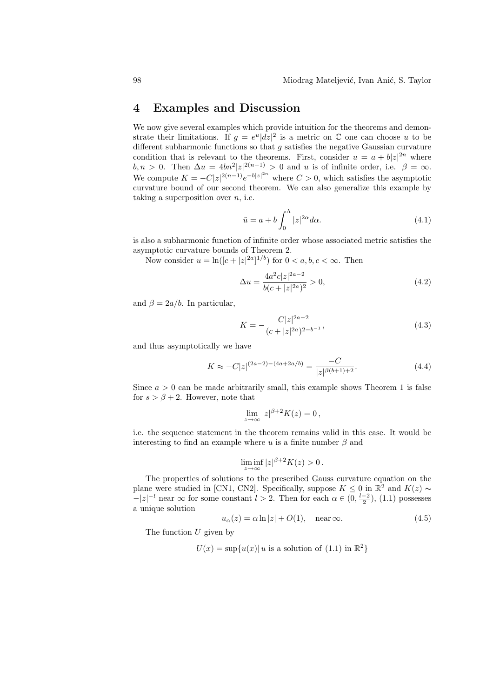#### 4 Examples and Discussion

We now give several examples which provide intuition for the theorems and demonstrate their limitations. If  $g = e^u |dz|^2$  is a metric on C one can choose u to be different subharmonic functions so that  $g$  satisfies the negative Gaussian curvature condition that is relevant to the theorems. First, consider  $u = a + b|z|^{2n}$  where  $b, n > 0$ . Then  $\Delta u = 4bn^2 |z|^{2(n-1)} > 0$  and u is of infinite order, i.e.  $\beta = \infty$ . We compute  $K = -C|z|^{2(n-1)}e^{-b|z|^{2n}}$  where  $C > 0$ , which satisfies the asymptotic curvature bound of our second theorem. We can also generalize this example by taking a superposition over  $n$ , i.e.

$$
\tilde{u} = a + b \int_0^{\Lambda} |z|^{2\alpha} d\alpha.
$$
\n(4.1)

is also a subharmonic function of infinite order whose associated metric satisfies the asymptotic curvature bounds of Theorem 2.

Now consider  $u = \ln\left(|c + |z|^{2a}|^{1/b}\right)$  for  $0 < a, b, c < \infty$ . Then

$$
\Delta u = \frac{4a^2c|z|^{2a-2}}{b(c+|z|^{2a})^2} > 0,
$$
\n(4.2)

and  $\beta = 2a/b$ . In particular,

$$
K = -\frac{C|z|^{2a-2}}{(c+|z|^{2a})^{2-b^{-1}}},\tag{4.3}
$$

and thus asymptotically we have

$$
K \approx -C|z|^{(2a-2)-(4a+2a/b)} = \frac{-C}{|z|^{\beta(b+1)+2}}.\tag{4.4}
$$

Since  $a > 0$  can be made arbitrarily small, this example shows Theorem 1 is false for  $s > \beta + 2$ . However, note that

$$
\lim_{z \to \infty} |z|^{\beta+2} K(z) = 0,
$$

i.e. the sequence statement in the theorem remains valid in this case. It would be interesting to find an example where u is a finite number  $\beta$  and

$$
\liminf_{z \to \infty} |z|^{\beta+2} K(z) > 0.
$$

The properties of solutions to the prescribed Gauss curvature equation on the plane were studied in [CN1, CN2]. Specifically, suppose  $K \leq 0$  in  $\mathbb{R}^2$  and  $K(z) \sim$  $-|z|^{-l}$  near  $\infty$  for some constant  $l > 2$ . Then for each  $\alpha \in (0, \frac{l-2}{2})$ , (1.1) possesses a unique solution

$$
u_{\alpha}(z) = \alpha \ln|z| + O(1), \quad \text{near } \infty. \tag{4.5}
$$

The function  $U$  given by

$$
U(x) = \sup\{u(x)|\ u \text{ is a solution of (1.1) in } \mathbb{R}^2\}
$$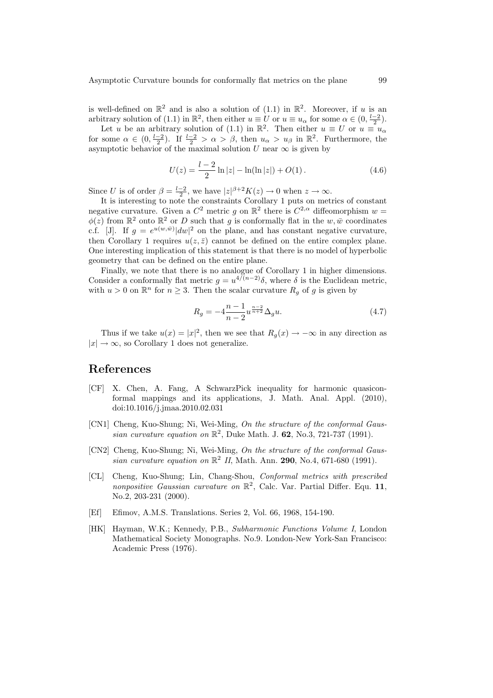is well-defined on  $\mathbb{R}^2$  and is also a solution of (1.1) in  $\mathbb{R}^2$ . Moreover, if u is an arbitrary solution of (1.1) in  $\mathbb{R}^2$ , then either  $u \equiv U$  or  $u \equiv u_\alpha$  for some  $\alpha \in (0, \frac{l-2}{2})$ .

Let u be an arbitrary solution of (1.1) in  $\mathbb{R}^2$ . Then either  $u \equiv U$  or  $u \equiv u_\alpha$ for some  $\alpha \in (0, \frac{l-2}{2})$ . If  $\frac{l-2}{2} > \alpha > \beta$ , then  $u_{\alpha} > u_{\beta}$  in  $\mathbb{R}^2$ . Furthermore, the asymptotic behavior of the maximal solution U near  $\infty$  is given by

$$
U(z) = \frac{l-2}{2}\ln|z| - \ln(\ln|z|) + O(1).
$$
 (4.6)

Since U is of order  $\beta = \frac{l-2}{2}$ , we have  $|z|^{\beta+2}K(z) \to 0$  when  $z \to \infty$ .

It is interesting to note the constraints Corollary 1 puts on metrics of constant negative curvature. Given a  $C^2$  metric g on  $\mathbb{R}^2$  there is  $C^{2,\alpha}$  diffeomorphism  $w =$  $\phi(z)$  from  $\mathbb{R}^2$  onto  $\mathbb{R}^2$  or D such that g is conformally flat in the  $w, \bar{w}$  coordinates c.f. [J]. If  $g = e^{u(w,\bar{w})} |dw|^2$  on the plane, and has constant negative curvature, then Corollary 1 requires  $u(z, \bar{z})$  cannot be defined on the entire complex plane. One interesting implication of this statement is that there is no model of hyperbolic geometry that can be defined on the entire plane.

Finally, we note that there is no analogue of Corollary 1 in higher dimensions. Consider a conformally flat metric  $g = u^{4/(n-2)}\delta$ , where  $\delta$  is the Euclidean metric, with  $u > 0$  on  $\mathbb{R}^n$  for  $n \geq 3$ . Then the scalar curvature  $R_g$  of g is given by

$$
R_g = -4\frac{n-1}{n-2}u^{\frac{n-2}{n+2}}\Delta_g u.
$$
\n(4.7)

Thus if we take  $u(x) = |x|^2$ , then we see that  $R_g(x) \to -\infty$  in any direction as  $|x| \to \infty$ , so Corollary 1 does not generalize.

### References

- [CF] X. Chen, A. Fang, A SchwarzPick inequality for harmonic quasiconformal mappings and its applications, J. Math. Anal. Appl. (2010), doi:10.1016/j.jmaa.2010.02.031
- [CN1] Cheng, Kuo-Shung; Ni, Wei-Ming, On the structure of the conformal Gaussian curvature equation on  $\mathbb{R}^2$ , Duke Math. J. 62, No.3, 721-737 (1991).
- [CN2] Cheng, Kuo-Shung; Ni, Wei-Ming, On the structure of the conformal Gaussian curvature equation on  $\mathbb{R}^2$  II, Math. Ann. 290, No.4, 671-680 (1991).
- [CL] Cheng, Kuo-Shung; Lin, Chang-Shou, Conformal metrics with prescribed nonpositive Gaussian curvature on  $\mathbb{R}^2$ , Calc. Var. Partial Differ. Equ. 11, No.2, 203-231 (2000).
- [Ef] Efimov, A.M.S. Translations. Series 2, Vol. 66, 1968, 154-190.
- [HK] Hayman, W.K.; Kennedy, P.B., Subharmonic Functions Volume I, London Mathematical Society Monographs. No.9. London-New York-San Francisco: Academic Press (1976).